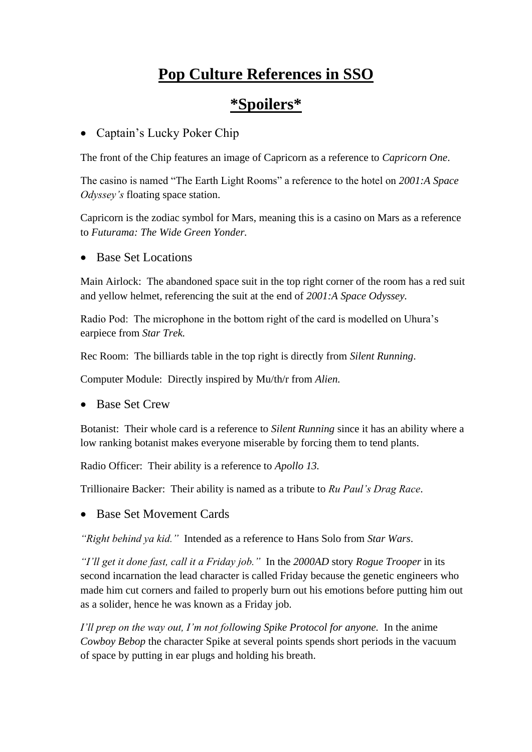# **Pop Culture References in SSO**

# **\*Spoilers\***

#### • Captain's Lucky Poker Chip

The front of the Chip features an image of Capricorn as a reference to *Capricorn One*.

The casino is named "The Earth Light Rooms" a reference to the hotel on *2001:A Space Odyssey's* floating space station.

Capricorn is the zodiac symbol for Mars, meaning this is a casino on Mars as a reference to *Futurama: The Wide Green Yonder.* 

• Base Set Locations

Main Airlock: The abandoned space suit in the top right corner of the room has a red suit and yellow helmet, referencing the suit at the end of *2001:A Space Odyssey.*

Radio Pod: The microphone in the bottom right of the card is modelled on Uhura's earpiece from *Star Trek.*

Rec Room: The billiards table in the top right is directly from *Silent Running*.

Computer Module: Directly inspired by Mu/th/r from *Alien.*

• Base Set Crew

Botanist: Their whole card is a reference to *Silent Running* since it has an ability where a low ranking botanist makes everyone miserable by forcing them to tend plants.

Radio Officer: Their ability is a reference to *Apollo 13.*

Trillionaire Backer: Their ability is named as a tribute to *Ru Paul's Drag Race*.

• Base Set Movement Cards

*"Right behind ya kid."* Intended as a reference to Hans Solo from *Star Wars*.

*"I'll get it done fast, call it a Friday job."* In the *2000AD* story *Rogue Trooper* in its second incarnation the lead character is called Friday because the genetic engineers who made him cut corners and failed to properly burn out his emotions before putting him out as a solider, hence he was known as a Friday job.

*I'll prep on the way out, I'm not following Spike Protocol for anyone.* In the anime *Cowboy Bebop* the character Spike at several points spends short periods in the vacuum of space by putting in ear plugs and holding his breath.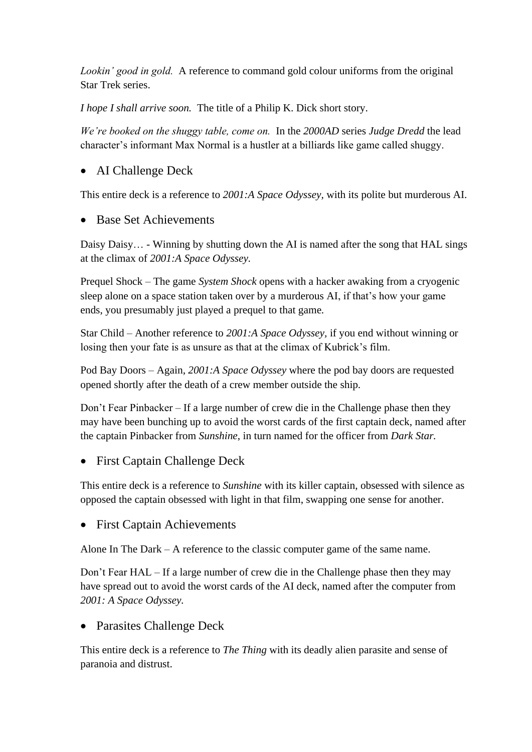*Lookin' good in gold.* A reference to command gold colour uniforms from the original Star Trek series.

*I hope I shall arrive soon.* The title of a Philip K. Dick short story.

*We're booked on the shuggy table, come on.* In the *2000AD* series *Judge Dredd* the lead character's informant Max Normal is a hustler at a billiards like game called shuggy.

# • AI Challenge Deck

This entire deck is a reference to *2001:A Space Odyssey,* with its polite but murderous AI.

• Base Set Achievements

Daisy Daisy… - Winning by shutting down the AI is named after the song that HAL sings at the climax of *2001:A Space Odyssey.*

Prequel Shock – The game *System Shock* opens with a hacker awaking from a cryogenic sleep alone on a space station taken over by a murderous AI, if that's how your game ends, you presumably just played a prequel to that game*.*

Star Child – Another reference to *2001:A Space Odyssey,* if you end without winning or losing then your fate is as unsure as that at the climax of Kubrick's film.

Pod Bay Doors – Again, *2001:A Space Odyssey* where the pod bay doors are requested opened shortly after the death of a crew member outside the ship*.*

Don't Fear Pinbacker – If a large number of crew die in the Challenge phase then they may have been bunching up to avoid the worst cards of the first captain deck, named after the captain Pinbacker from *Sunshine*, in turn named for the officer from *Dark Star.*

## • First Captain Challenge Deck

This entire deck is a reference to *Sunshine* with its killer captain, obsessed with silence as opposed the captain obsessed with light in that film, swapping one sense for another.

• First Captain Achievements

Alone In The Dark – A reference to the classic computer game of the same name.

Don't Fear HAL – If a large number of crew die in the Challenge phase then they may have spread out to avoid the worst cards of the AI deck, named after the computer from *2001: A Space Odyssey.*

## • Parasites Challenge Deck

This entire deck is a reference to *The Thing* with its deadly alien parasite and sense of paranoia and distrust.